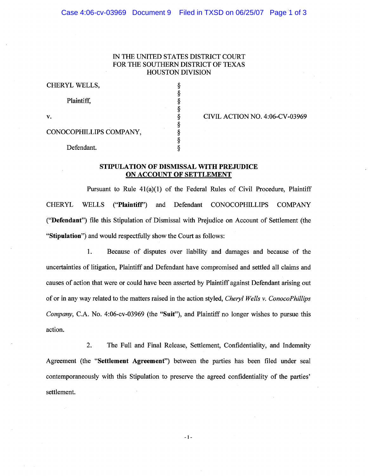## IN THE UNITED STATES DISTRICT COURT FOR THE SOUTHERN DISTRICT OF TEXAS HOUSTON DIVISION

§ § § § § § § §

CHERYL WELLS, §

Plaintiff,

v. 6 CIVIL ACTION NO. 4:06-CV-03969

CONOCOPHILLIPS COMPANY,

Defendant.

## STIPULATION OF DISMISSAL WITH PREJUDICE ON ACCOUNT OF SETTLEMENT

Pursuant to Rule 41(a)(1) of the Federal Rules of Civil Procedure, Plaintiff CHERYL WELLS ("Plaintiff') and Defendant CONOCOPHILLIPS COMPANY ("Defendant") file this Stipulation of Dismissal with Prejudice on Account of Settlement (the "Stipulation") and would respectfully show the Court as follows:

1. Because of disputes over liability and damages and because of the uncertainties of litigation, Plaintiff and Defendant have compromised and settled all claims and causes of action that were or could have been asserted by Plaintiff against Defendant arising out of or in any way related to the matters raised in the action styled, *Cheryl Wells* v. *ConocoPhillips Company,* C.A. No. 4:06-cv-03969 (the "Suit"), and Plaintiff no longer wishes to pursue this action.

2. The Full and Final Release, Settlement, Confidentiality, and Indemnity Agreement (the "Settlement Agreement") between the parties has been filed under seal contemporaneously with this Stipulation to preserve the agreed confidentiality of the parties' settlement.

- 1 -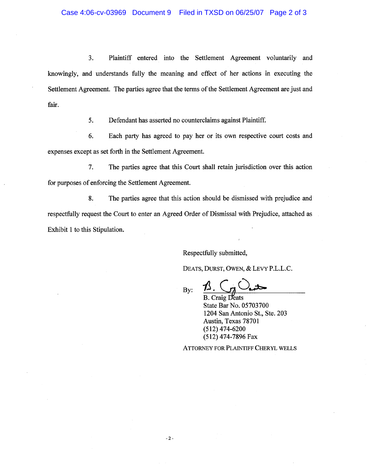3. Plaintiff entered into the Settlement Agreement voluntarily and knowingly, and understands fully the meaning and effect of her actions in executing the Settlement Agreement. The parties agree that the terms of the Settlement Agreement are just and fair.

5. Defendant has asserted no counterclaims against Plaintiff.

6. Each party has agreed to pay her or its own respective court costs and expenses except as set forth in the Settlement Agreement.

7. The parties agree that this Court shall retain jurisdiction over this action for purposes of enforcing the Settlement Agreement.

8. The parties agree that this action should be dismissed with prejudice and respectfully request the Court to enter an Agreed Order of Dismissal with Prejudice, attached as Exhibit 1 to this Stipulation.

Respectfully submitted,

DEATS, DURST, OWEN, & LEVY P.L.L.C.

 $By: \Delta$ .  $C_7$  and

**B.** Craig Deats State Bar No. 05703700 1204 San Antonio St., Ste. 203 Austin, Texas 78701 (512) 474-6200 (512) 474-7896 Fax

ATTORNEY FOR PLAINTIFF CHERYL WELLS

-2-